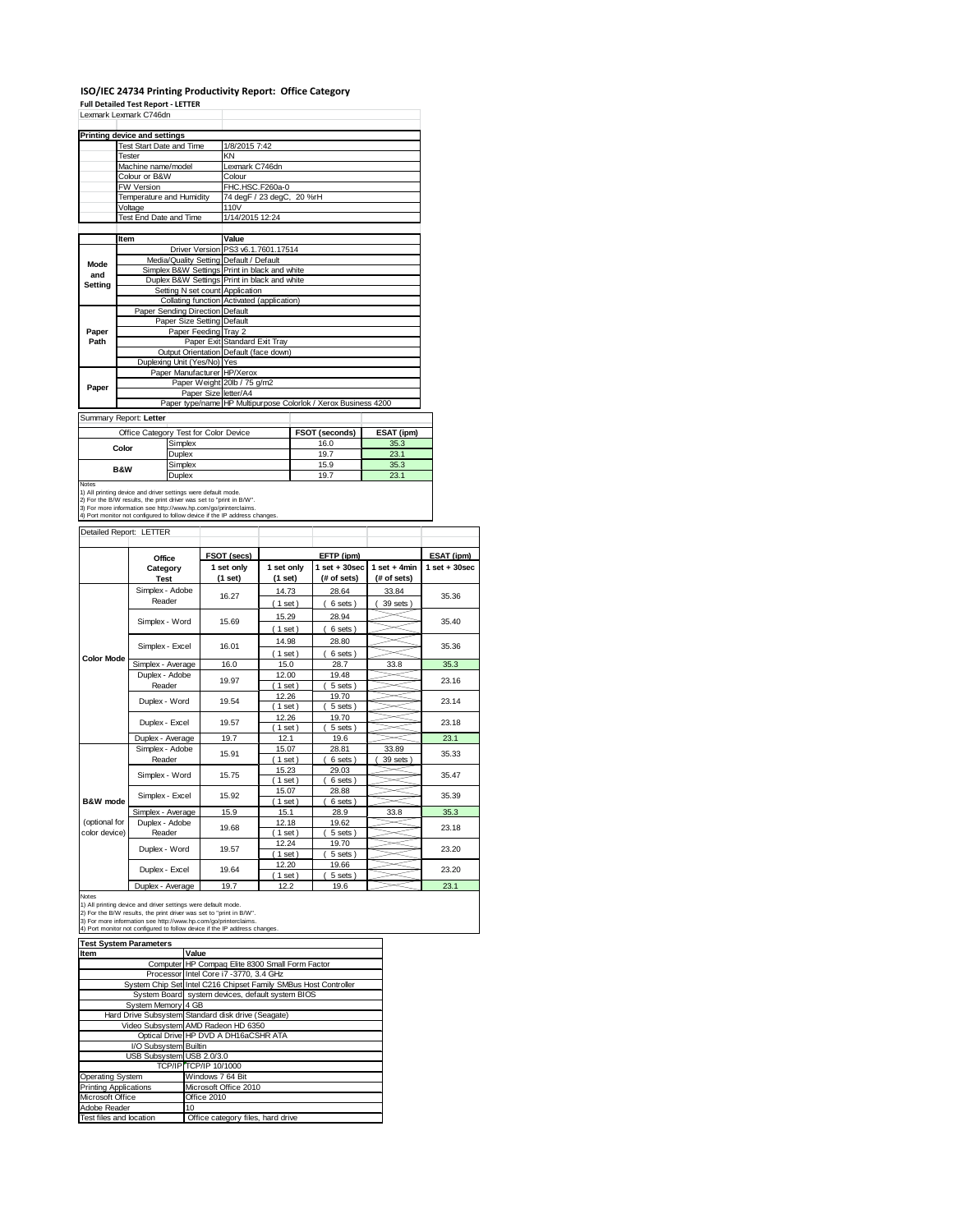# **ISO/IEC 24734 Printing Productivity Report: Office Category**

**Full Detailed Test Report ‐ LETTER** Lexmark Lexmark C746dn

|             | Lexmark Lexmark C/46dn        |                                       |                                                                |                       |            |  |  |
|-------------|-------------------------------|---------------------------------------|----------------------------------------------------------------|-----------------------|------------|--|--|
|             | Printing device and settings  |                                       |                                                                |                       |            |  |  |
|             | Test Start Date and Time      |                                       | 1/8/2015 7:42                                                  |                       |            |  |  |
|             | Tester                        |                                       | KN                                                             |                       |            |  |  |
|             | Machine name/model            |                                       | Lexmark C746dn                                                 |                       |            |  |  |
|             | Colour or B&W                 |                                       | Colour                                                         |                       |            |  |  |
|             | <b>FW Version</b>             |                                       | FHC.HSC.F260a-0                                                |                       |            |  |  |
|             | Temperature and Humidity      |                                       | 74 degF / 23 degC, 20 %rH                                      |                       |            |  |  |
|             | Voltage                       |                                       | 110V                                                           |                       |            |  |  |
|             | <b>Test End Date and Time</b> |                                       | 1/14/2015 12:24                                                |                       |            |  |  |
|             | Item                          |                                       | Value                                                          |                       |            |  |  |
|             |                               |                                       | Driver Version PS3 v6.1.7601.17514                             |                       |            |  |  |
|             |                               |                                       | Media/Quality Setting Default / Default                        |                       |            |  |  |
| Mode<br>and |                               |                                       | Simplex B&W Settings Print in black and white                  |                       |            |  |  |
| Settina     |                               |                                       | Duplex B&W Settings Print in black and white                   |                       |            |  |  |
|             |                               | Setting N set count Application       |                                                                |                       |            |  |  |
|             |                               |                                       | Collating function Activated (application)                     |                       |            |  |  |
|             |                               | Paper Sending Direction Default       |                                                                |                       |            |  |  |
|             |                               | Paper Size Setting Default            |                                                                |                       |            |  |  |
| Paper       |                               | Paper Feeding Tray 2                  |                                                                |                       |            |  |  |
| Path        |                               |                                       | Paper Exit Standard Exit Tray                                  |                       |            |  |  |
|             |                               |                                       | Output Orientation Default (face down)                         |                       |            |  |  |
|             |                               | Duplexing Unit (Yes/No) Yes           |                                                                |                       |            |  |  |
|             |                               | Paper Manufacturer HP/Xerox           |                                                                |                       |            |  |  |
| Paper       |                               |                                       | Paper Weight 20lb / 75 g/m2                                    |                       |            |  |  |
|             |                               | Paper Size letter/A4                  |                                                                |                       |            |  |  |
|             |                               |                                       | Paper type/name HP Multipurpose Colorlok / Xerox Business 4200 |                       |            |  |  |
|             | Summary Report: Letter        |                                       |                                                                |                       |            |  |  |
|             |                               | Office Category Test for Color Device |                                                                | <b>FSOT (seconds)</b> | ESAT (ipm) |  |  |
|             |                               | Simplex                               |                                                                | 16.0                  | 35.3       |  |  |
|             | Color                         | Duplex                                |                                                                | 19.7                  | 23.1       |  |  |
| Simplex     |                               |                                       |                                                                | 15.9                  | 35.3       |  |  |

Simplex 15.9 35.3<br>Duplex 19.7 23.1 **Duplex 19.7 19.7 23.1**<br>19.1 printing device and diverse titings were default mode.<br>2) For the BAW results, the print direct was set to "print in BAW".<br>2) For the BAW results, the print direct was set to "print in BAW".<br> **B&W**

### Detailed Report: LETTER

|                                | Office                   | <b>FSOT (secs)</b>    |                       | EFTP (ipm)                     |                               | ESAT (ipm)              |  |
|--------------------------------|--------------------------|-----------------------|-----------------------|--------------------------------|-------------------------------|-------------------------|--|
|                                | Category<br><b>Test</b>  | 1 set only<br>(1 set) | 1 set only<br>(1 set) | $1$ set + 30sec<br>(# of sets) | $1$ set + 4min<br>(# of sets) | $1$ set $+30$ sec       |  |
|                                | Simplex - Adobe          | 16.27                 | 14.73                 | 28.64                          | 33.84                         | 35.36                   |  |
|                                | Reader                   |                       | (1 set)               | 6 sets)                        | 39 sets )                     |                         |  |
|                                | Simplex - Word           | 15.69                 | 15.29                 | 28.94                          |                               | 35.40                   |  |
|                                |                          |                       | (1 set)               | 6 sets)                        |                               |                         |  |
|                                | Simplex - Excel          | 16.01                 | 14.98                 | 28.80                          |                               | 35.36                   |  |
| <b>Color Mode</b>              |                          |                       | $1$ set)              | 6 sets)                        |                               |                         |  |
|                                | Simplex - Average        | 16.0                  | 15.0                  | 28.7                           | 33.8                          | 35.3                    |  |
|                                | Duplex - Adobe           | 19.97                 | 12.00                 | 19.48                          |                               | 23.16<br>23.14<br>23.18 |  |
|                                | Reader                   |                       | $1$ set)              | 5 sets)                        |                               |                         |  |
|                                | Duplex - Word            | 19.54                 | 12.26                 | 19.70                          |                               |                         |  |
|                                |                          |                       | $1$ set)              | 5 sets)                        |                               |                         |  |
|                                | Duplex - Excel           | 19.57                 | 12.26<br>$1$ set)     | 19.70<br>5 sets)               |                               |                         |  |
|                                | Duplex - Average         | 19.7                  | 12.1                  | 19.6                           |                               | 23.1                    |  |
|                                | Simplex - Adobe          |                       | 15.07                 | 28.81                          | 33.89                         |                         |  |
|                                | Reader                   | 15.91                 | $1$ set)              | 6 sets                         | 39 sets                       | 35.33                   |  |
|                                |                          | 15.75                 | 15.23                 | 29.03                          |                               | 35.47<br>35.39          |  |
|                                | Simplex - Word           |                       | $1$ set)              | 6 sets)                        |                               |                         |  |
|                                | Simplex - Excel          | 15.92                 | 15.07                 | 28.88                          |                               |                         |  |
| B&W mode                       |                          |                       | $1$ set)              | 6 sets)                        |                               |                         |  |
|                                | Simplex - Average        | 15.9                  | 15.1                  | 28.9                           | 33.8                          | 35.3                    |  |
| (optional for<br>color device) | Duplex - Adobe<br>Reader | 19.68                 | 12.18<br>$1$ set)     | 19.62<br>5 sets)               |                               | 23.18                   |  |
|                                |                          |                       | 12.24                 | 19.70                          |                               |                         |  |
|                                | Duplex - Word            | 19.57                 | $1$ set)              | 5 sets)                        |                               | 23.20                   |  |
|                                |                          | 19.64                 | 12.20                 | 19.66                          |                               |                         |  |
|                                | Duplex - Excel           |                       | $1$ set)              | 5 sets)                        |                               | 23.20                   |  |
|                                | Duplex - Average         | 19.7                  | 12.2                  | 19.6                           |                               | 23.1                    |  |

٦

Notes<br>1) All printing device and driver settings were default mode.<br>2) For the B/W results, the print driver was set to "print in B/W".<br>3) For more information see http://www.hp.com/go/printerclaims.<br>4) Port monitor not co

| <b>Test System Parameters</b> |                                                                 |  |  |  |  |  |
|-------------------------------|-----------------------------------------------------------------|--|--|--|--|--|
| Item                          | Value                                                           |  |  |  |  |  |
|                               | Computer HP Compaq Elite 8300 Small Form Factor                 |  |  |  |  |  |
|                               | Processor Intel Core i7 -3770, 3.4 GHz                          |  |  |  |  |  |
|                               | System Chip Set Intel C216 Chipset Family SMBus Host Controller |  |  |  |  |  |
|                               | System Board system devices, default system BIOS                |  |  |  |  |  |
| System Memory 4 GB            |                                                                 |  |  |  |  |  |
|                               | Hard Drive Subsystem Standard disk drive (Seagate)              |  |  |  |  |  |
|                               | Video Subsystem AMD Radeon HD 6350                              |  |  |  |  |  |
|                               | Optical Drive HP DVD A DH16aCSHR ATA                            |  |  |  |  |  |
| I/O Subsystem Builtin         |                                                                 |  |  |  |  |  |
| USB Subsystem USB 2.0/3.0     |                                                                 |  |  |  |  |  |
|                               | TCP/IP TCP/IP 10/1000                                           |  |  |  |  |  |
| <b>Operating System</b>       | Windows 7 64 Bit                                                |  |  |  |  |  |
| <b>Printing Applications</b>  | Microsoft Office 2010                                           |  |  |  |  |  |
| Microsoft Office              | Office 2010                                                     |  |  |  |  |  |
| Adobe Reader                  | 10                                                              |  |  |  |  |  |
| Test files and location       | Office category files, hard drive                               |  |  |  |  |  |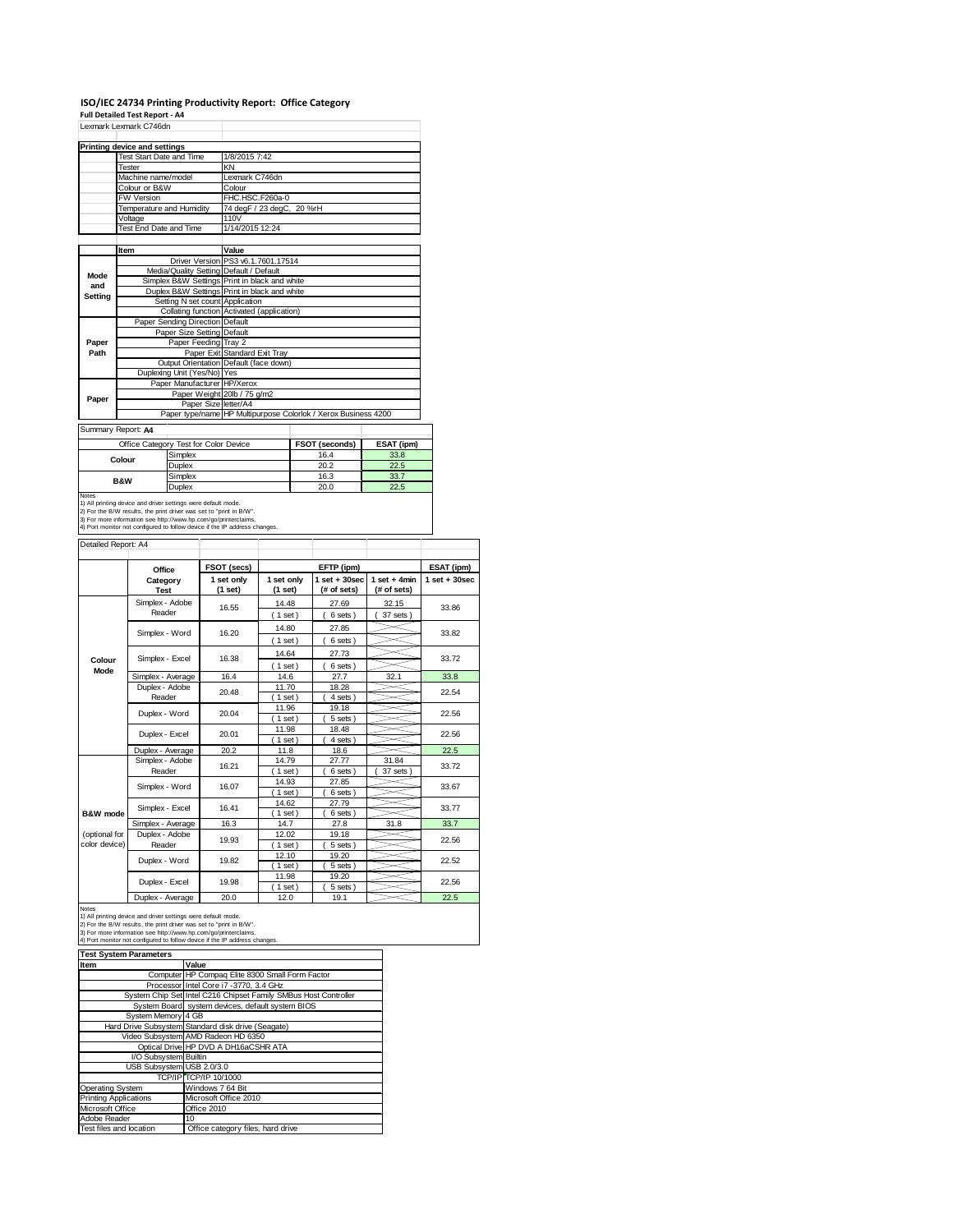## **ISO/IEC 24734 Printing Productivity Report: Office Category**

**Full Detailed Test Report ‐ A4**

|                                                                                                                                                 | Full Detailed Test Report - A4                                                                                                                |                                               |             |                 |                                    |  |                                                                |                |                   |  |
|-------------------------------------------------------------------------------------------------------------------------------------------------|-----------------------------------------------------------------------------------------------------------------------------------------------|-----------------------------------------------|-------------|-----------------|------------------------------------|--|----------------------------------------------------------------|----------------|-------------------|--|
|                                                                                                                                                 | Lexmark Lexmark C746dn                                                                                                                        |                                               |             |                 |                                    |  |                                                                |                |                   |  |
|                                                                                                                                                 |                                                                                                                                               |                                               |             |                 |                                    |  |                                                                |                |                   |  |
|                                                                                                                                                 | <b>Printing device and settings</b>                                                                                                           |                                               |             |                 |                                    |  |                                                                |                |                   |  |
|                                                                                                                                                 | Test Start Date and Time<br>Tester                                                                                                            |                                               |             | 1/8/2015 7:42   |                                    |  |                                                                |                |                   |  |
|                                                                                                                                                 | Machine name/model                                                                                                                            |                                               | ΚN          | Lexmark C746dn  |                                    |  |                                                                |                |                   |  |
|                                                                                                                                                 | Colour or B&W                                                                                                                                 |                                               |             | Colour          |                                    |  |                                                                |                |                   |  |
|                                                                                                                                                 | FW Version                                                                                                                                    |                                               |             |                 | FHC.HSC.F260a-0                    |  |                                                                |                |                   |  |
|                                                                                                                                                 | Temperature and Humidity                                                                                                                      |                                               |             |                 | 74 degF / 23 degC, 20 %rH          |  |                                                                |                |                   |  |
|                                                                                                                                                 | Voltage                                                                                                                                       |                                               |             | 110V            |                                    |  |                                                                |                |                   |  |
|                                                                                                                                                 | <b>Test End Date and Time</b>                                                                                                                 |                                               |             | 1/14/2015 12:24 |                                    |  |                                                                |                |                   |  |
|                                                                                                                                                 |                                                                                                                                               |                                               |             |                 |                                    |  |                                                                |                |                   |  |
|                                                                                                                                                 | ltem                                                                                                                                          |                                               |             | Value           |                                    |  |                                                                |                |                   |  |
|                                                                                                                                                 |                                                                                                                                               |                                               |             |                 | Driver Version PS3 v6.1.7601.17514 |  |                                                                |                |                   |  |
|                                                                                                                                                 |                                                                                                                                               | Media/Quality Setting Default / Default       |             |                 |                                    |  |                                                                |                |                   |  |
| Mode                                                                                                                                            |                                                                                                                                               | Simplex B&W Settings Print in black and white |             |                 |                                    |  |                                                                |                |                   |  |
| and                                                                                                                                             |                                                                                                                                               | Duplex B&W Settings Print in black and white  |             |                 |                                    |  |                                                                |                |                   |  |
| <b>Setting</b>                                                                                                                                  |                                                                                                                                               | Setting N set count Application               |             |                 |                                    |  |                                                                |                |                   |  |
|                                                                                                                                                 |                                                                                                                                               | Collating function Activated (application)    |             |                 |                                    |  |                                                                |                |                   |  |
| Paper Sending Direction Default                                                                                                                 |                                                                                                                                               |                                               |             |                 |                                    |  |                                                                |                |                   |  |
| Paper Size Setting Default                                                                                                                      |                                                                                                                                               |                                               |             |                 |                                    |  |                                                                |                |                   |  |
| Paper<br>Paper Feeding Tray 2<br>Path<br>Paper Exit Standard Exit Tray<br>Output Orientation Default (face down)<br>Duplexing Unit (Yes/No) Yes |                                                                                                                                               |                                               |             |                 |                                    |  |                                                                |                |                   |  |
|                                                                                                                                                 |                                                                                                                                               |                                               |             |                 |                                    |  |                                                                |                |                   |  |
|                                                                                                                                                 |                                                                                                                                               |                                               |             |                 |                                    |  |                                                                |                |                   |  |
|                                                                                                                                                 |                                                                                                                                               |                                               |             |                 |                                    |  |                                                                |                |                   |  |
|                                                                                                                                                 | Paper Manufacturer HP/Xerox                                                                                                                   |                                               |             |                 |                                    |  |                                                                |                |                   |  |
| Paper                                                                                                                                           | Paper Weight 20lb / 75 g/m2                                                                                                                   |                                               |             |                 |                                    |  |                                                                |                |                   |  |
|                                                                                                                                                 |                                                                                                                                               | Paper Size letter/A4                          |             |                 |                                    |  |                                                                |                |                   |  |
|                                                                                                                                                 |                                                                                                                                               |                                               |             |                 |                                    |  | Paper type/name HP Multipurpose Colorlok / Xerox Business 4200 |                |                   |  |
| Summary Report: A4                                                                                                                              |                                                                                                                                               |                                               |             |                 |                                    |  |                                                                |                |                   |  |
|                                                                                                                                                 |                                                                                                                                               |                                               |             |                 |                                    |  |                                                                |                |                   |  |
|                                                                                                                                                 | Office Category Test for Color Device                                                                                                         |                                               |             |                 |                                    |  | FSOT (seconds)                                                 | ESAT (ipm)     |                   |  |
|                                                                                                                                                 | Colour                                                                                                                                        | Simplex                                       |             |                 |                                    |  | 16.4                                                           | 33.8           |                   |  |
|                                                                                                                                                 |                                                                                                                                               | Duplex                                        |             |                 |                                    |  | 20.2                                                           | 22.5           |                   |  |
|                                                                                                                                                 | <b>B&amp;W</b>                                                                                                                                | Simplex                                       |             |                 |                                    |  | 16.3                                                           | 33.7           |                   |  |
| Notes                                                                                                                                           |                                                                                                                                               | Duplex                                        |             | 20.0<br>22.5    |                                    |  |                                                                |                |                   |  |
|                                                                                                                                                 | 1) All printing device and driver settings were default mode.                                                                                 |                                               |             |                 |                                    |  |                                                                |                |                   |  |
|                                                                                                                                                 | 2) For the B/W results, the print driver was set to "print in B/W".                                                                           |                                               |             |                 |                                    |  |                                                                |                |                   |  |
|                                                                                                                                                 | 3) For more information see http://www.hp.com/go/printerclaims.<br>4) Port monitor not configured to follow device if the IP address changes. |                                               |             |                 |                                    |  |                                                                |                |                   |  |
|                                                                                                                                                 |                                                                                                                                               |                                               |             |                 |                                    |  |                                                                |                |                   |  |
| Detailed Report: A4                                                                                                                             |                                                                                                                                               |                                               |             |                 |                                    |  |                                                                |                |                   |  |
|                                                                                                                                                 |                                                                                                                                               |                                               |             |                 |                                    |  |                                                                |                |                   |  |
|                                                                                                                                                 | Office                                                                                                                                        |                                               | FSOT (secs) |                 |                                    |  | EFTP (ipm)                                                     |                | ESAT (ipm)        |  |
|                                                                                                                                                 | Category                                                                                                                                      |                                               | 1 set only  |                 | 1 set only                         |  | $1$ set $+30$ sec                                              | $1$ set + 4min | $1$ set $+30$ sec |  |
|                                                                                                                                                 | <b>Test</b>                                                                                                                                   |                                               | (1 set)     |                 | $(1$ set)                          |  | (# of sets)                                                    | (# of sets)    |                   |  |
|                                                                                                                                                 | Simplex - Adobe                                                                                                                               |                                               |             |                 | 14.48                              |  | 27.69                                                          | 32.15          |                   |  |
|                                                                                                                                                 | Reader                                                                                                                                        |                                               | 16.55       |                 | (1 set)                            |  | 6 sets)<br>ı                                                   | 37 sets)       | 33.86             |  |
|                                                                                                                                                 |                                                                                                                                               |                                               |             |                 |                                    |  |                                                                |                | 33.82             |  |
|                                                                                                                                                 | Simplex - Word                                                                                                                                |                                               | 16.20       |                 | 14.80                              |  | 27.85                                                          |                |                   |  |
|                                                                                                                                                 |                                                                                                                                               |                                               |             |                 | (1 set)                            |  | 6 sets)<br>(                                                   |                |                   |  |
| Colour                                                                                                                                          | Simplex - Excel                                                                                                                               |                                               | 16.38       |                 | 14.64                              |  | 27.73                                                          |                | 33.72             |  |
| Mode                                                                                                                                            |                                                                                                                                               |                                               |             |                 | $(1$ set)                          |  | 6 sets)                                                        |                |                   |  |
|                                                                                                                                                 | Simplex - Average                                                                                                                             |                                               | 16.4        |                 | 14.6                               |  | 27.7                                                           | 32.1           | 33.8              |  |

20.48  $\begin{array}{|c|c|c|c|c|}\n\hline\n & 11.70 & 18.28 & 22.54\n\hline\n & 1 set & 4 sets\n\end{array}$ 

14.79 27.77 31.84<br>(1 set) (6 sets) (37 sets)  $(6 sets)$ 

 $\geq$  $\leq$  $\gg$ 

S  $\geq$ 

22.52 22.56

22.56

22.56

22.56

33.72 33.67 33.77

11.96 19.18<br>(1 set) (5 sets (1 set ) (5 sets )<br>
11.98 18.48<br>
(1 set ) (4 sets ) 11.98 18.48<br>(1 set ) (4 sets ) Duplex - Average 20.2 11.8 18.6 22.5<br>Simplex - Adobe 46.04 14.79 27.77 31.84 22.7

14.93 27.85<br>(1 set) (6 sets ( 1 set ) ( 6 sets )<br>
14.62 27.79<br>
( 1 set ) ( 6 sets ) 14.62 27.79<br>( 1 set ) ( 6 sets ) Simplex - Average 16.3 14.7 27.8 31.8 33.7<br>Duplex - Adobe 2000 12.02 19.18 20.50  $\frac{12.02}{(1 \text{ set})}$ 

 $(1 \text{ set})$   $(5 \text{ sets})$ <br>12.10 19.20 12.10 19.20<br>(1 set) (5 sets  $(5 \text{ sets})$ 

11.98 19.20<br>
(1 set) (5 sets<br>
12.0 19.1  $(5 \text{ sets})$ <br> $19.1$ 

Duplex - Average 20.0 12.0 19.1 22.5

**B&W mode** (optional for color device)

Notes<br>1) All printing device and driver settings were default mode.<br>2) For the B/W results, the print driver was set to "print in B/W".<br>3) For more information see http://www.hp.com/go/printerclaims.<br>4) Port monitor not co

Duplex - Adobe Reader Duplex - Word Duplex - Excel

Simplex - Excel 16.41

Reader Simplex - Word 16.07

Duplex - Excel

Duplex - Adobe Reader Duplex - Word

| <b>Test System Parameters</b> |                                                                 |
|-------------------------------|-----------------------------------------------------------------|
| Item                          | Value                                                           |
|                               | Computer HP Compag Elite 8300 Small Form Factor                 |
|                               | Processor Intel Core i7 -3770, 3.4 GHz                          |
|                               | System Chip Set Intel C216 Chipset Family SMBus Host Controller |
|                               | System Board system devices, default system BIOS                |
| System Memory 4 GB            |                                                                 |
|                               | Hard Drive Subsystem Standard disk drive (Seagate)              |
|                               | Video Subsystem AMD Radeon HD 6350                              |
|                               | Optical Drive HP DVD A DH16aCSHR ATA                            |
| I/O Subsystem Builtin         |                                                                 |
| USB Subsystem USB 2.0/3.0     |                                                                 |
|                               | TCP/IP TCP/IP 10/1000                                           |
| Operating System              | Windows 7 64 Bit                                                |
| <b>Printing Applications</b>  | Microsoft Office 2010                                           |
| Microsoft Office              | Office 2010                                                     |
| Adobe Reader                  | 10                                                              |
| Test files and location       | Office category files, hard drive                               |

19.98

19.82 19.93

20.01

20.04

16.21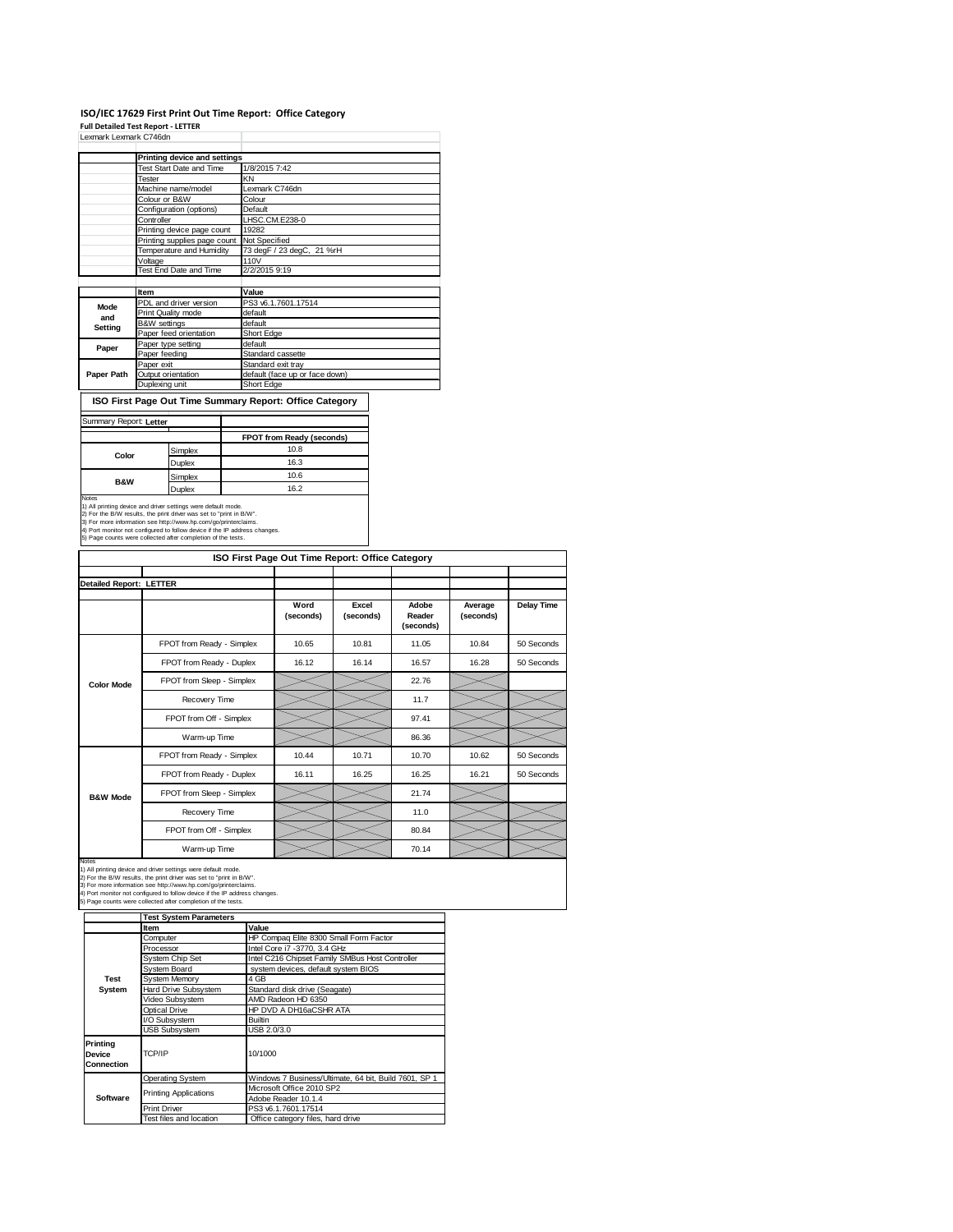## **ISO/IEC 17629 First Print Out Time Report: Office Category Full Detailed Test Report ‐ LETTER** Lexmark Lexmark C746dn

|            | Printing device and settings |                                |
|------------|------------------------------|--------------------------------|
|            | Test Start Date and Time     | 1/8/2015 7:42                  |
|            | Tester                       | KΝ                             |
|            | Machine name/model           | Lexmark C746dn                 |
|            | Colour or B&W                | Colour                         |
|            | Configuration (options)      | Default                        |
|            | Controller                   | LHSC.CM.E238-0                 |
|            | Printing device page count   | 19282                          |
|            | Printing supplies page count | Not Specified                  |
|            | Temperature and Humidity     | 73 degF / 23 degC, 21 %rH      |
|            | Voltage                      | 110V                           |
|            | Test End Date and Time       | 2/2/2015 9:19                  |
|            |                              |                                |
|            | Item                         | Value                          |
| Mode       | PDL and driver version       | PS3 v6.1.7601.17514            |
| and        | Print Quality mode           | default                        |
| Setting    | <b>B&amp;W</b> settings      | default                        |
|            | Paper feed orientation       | Short Edge                     |
| Paper      | Paper type setting           | default                        |
|            | Paper feeding                | Standard cassette              |
|            | Paper exit                   | Standard exit tray             |
| Paper Path | Output orientation           | default (face up or face down) |
|            | Duplexing unit               | Short Edge                     |

**ISO First Page Out Time Summary Report: Office Category**

| Summary Report: Letter |         |                           |
|------------------------|---------|---------------------------|
|                        |         | FPOT from Ready (seconds) |
| Color                  | Simplex | 10.8                      |
|                        | Duplex  | 16.3                      |
| <b>B&amp;W</b>         | Simplex | 10.6                      |
|                        | Duplex  | 16.2                      |

Notes<br>1) All printing device and driver settings were default mode.<br>2) For the B/W results, the print driver was set to "print in B/W".<br>3) For more information see http://www.hp.com/go/printerclaims.<br>4) Port monitor not co

|                                |                           | ISO First Page Out Time Report: Office Category |                    |                              |                      |            |
|--------------------------------|---------------------------|-------------------------------------------------|--------------------|------------------------------|----------------------|------------|
| <b>Detailed Report: LETTER</b> |                           |                                                 |                    |                              |                      |            |
|                                |                           | Word<br>(seconds)                               | Excel<br>(seconds) | Adobe<br>Reader<br>(seconds) | Average<br>(seconds) | Delay Time |
|                                | FPOT from Ready - Simplex | 10.65                                           | 10.81              | 11.05                        | 10.84                | 50 Seconds |
|                                | FPOT from Ready - Duplex  | 16.12                                           | 16.14              | 16.57                        | 16.28                | 50 Seconds |
| <b>Color Mode</b>              | FPOT from Sleep - Simplex |                                                 |                    | 22.76                        |                      |            |
|                                | Recovery Time             |                                                 |                    | 11.7                         |                      |            |
|                                | FPOT from Off - Simplex   |                                                 |                    | 97.41                        |                      |            |
|                                | Warm-up Time              |                                                 |                    | 86.36                        |                      |            |
|                                | FPOT from Ready - Simplex | 10.44                                           | 10.71              | 10.70                        | 10.62                | 50 Seconds |
|                                | FPOT from Ready - Duplex  | 16.11                                           | 16.25              | 16.25                        | 16.21                | 50 Seconds |
| <b>B&amp;W Mode</b>            | FPOT from Sleep - Simplex |                                                 |                    | 21.74                        |                      |            |
|                                | Recovery Time             |                                                 |                    | 11.0                         |                      |            |
|                                | FPOT from Off - Simplex   |                                                 |                    | 80.84                        |                      |            |
|                                | Warm-up Time              |                                                 |                    | 70.14                        |                      |            |

Notes<br>1) All printing device and driver settings were default mode.<br>2) For the B/W results, the print driver was set to "print in B/W".<br>3) For more information see http://www.hp.com/go/printerclaims.<br>4) Port monitor not co

|                                  | <b>Test System Parameters</b> |                                                       |  |  |  |
|----------------------------------|-------------------------------|-------------------------------------------------------|--|--|--|
|                                  | Item                          | Value                                                 |  |  |  |
|                                  | Computer                      | HP Compaq Elite 8300 Small Form Factor                |  |  |  |
|                                  | Processor                     | Intel Core i7 -3770, 3.4 GHz                          |  |  |  |
|                                  | System Chip Set               | Intel C216 Chipset Family SMBus Host Controller       |  |  |  |
|                                  | <b>System Board</b>           | system devices, default system BIOS                   |  |  |  |
| Test                             | <b>System Memory</b>          | 4 GB                                                  |  |  |  |
| System                           | Hard Drive Subsystem          | Standard disk drive (Seagate)                         |  |  |  |
|                                  | Video Subsystem               | AMD Radeon HD 6350                                    |  |  |  |
|                                  | Optical Drive                 | HP DVD A DH16aCSHR ATA                                |  |  |  |
|                                  | I/O Subsystem                 | <b>Builtin</b>                                        |  |  |  |
|                                  | <b>USB Subsystem</b>          | USB 2.0/3.0                                           |  |  |  |
| Printing<br>Device<br>Connection | TCP/IP                        | 10/1000                                               |  |  |  |
|                                  | <b>Operating System</b>       | Windows 7 Business/Ultimate, 64 bit, Build 7601, SP 1 |  |  |  |
|                                  |                               | Microsoft Office 2010 SP2                             |  |  |  |
| Software                         | <b>Printing Applications</b>  | Adobe Reader 10.1.4                                   |  |  |  |
|                                  | <b>Print Driver</b>           | PS3 v6.1.7601.17514                                   |  |  |  |
|                                  | Test files and location       | Office category files, hard drive                     |  |  |  |